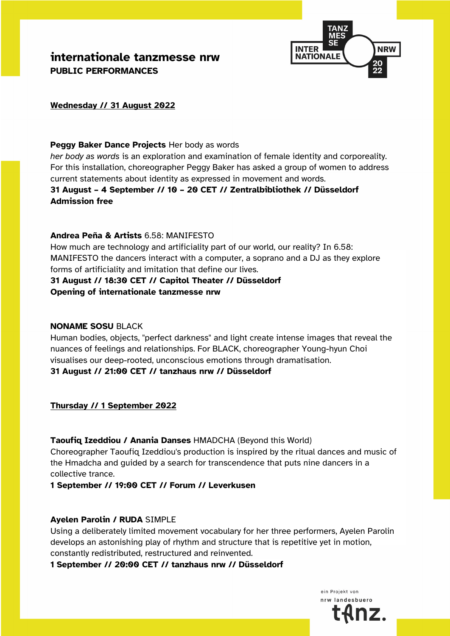**internationale tanzmesse nrw PUBLIC PERFORMANCES** 



## **Wednesday // 31 August 2022**

#### **Peggy Baker Dance Projects** Her body as words

*her body as words* is an exploration and examination of female identity and corporeality. For this installation, choreographer Peggy Baker has asked a group of women to address current statements about identity as expressed in movement and words.

**31 August – 4 September // 10 – 20 CET // Zentralbibliothek // Düsseldorf Admission free**

#### **Andrea Peña & Artists** 6.58: MANIFESTO

How much are technology and artificiality part of our world, our reality? In 6.58: MANIFESTO the dancers interact with a computer, a soprano and a DJ as they explore forms of artificiality and imitation that define our lives.

#### **31 August // 18:30 CET // Capitol Theater // Düsseldorf Opening of internationale tanzmesse nrw**

#### **NONAME SOSU** BLACK

Human bodies, objects, "perfect darkness" and light create intense images that reveal the nuances of feelings and relationships. For BLACK, choreographer Young-hyun Choi visualises our deep-rooted, unconscious emotions through dramatisation. **31 August // 21:00 CET // tanzhaus nrw // Düsseldorf**

## **Thursday // 1 September 2022**

#### **Taoufiq Izeddiou / Anania Danses** HMADCHA (Beyond this World)

Choreographer Taoufiq Izeddiou's production is inspired by the ritual dances and music of the Hmadcha and guided by a search for transcendence that puts nine dancers in a collective trance.

**1 September // 19:00 CET // Forum // Leverkusen**

#### **Ayelen Parolin / RUDA** SIMPLE

Using a deliberately limited movement vocabulary for her three performers, Ayelen Parolin develops an astonishing play of rhythm and structure that is repetitive yet in motion, constantly redistributed, restructured and reinvented.

**1 September // 20:00 CET // tanzhaus nrw // Düsseldorf**

ein Projekt von nrw landesbuerd